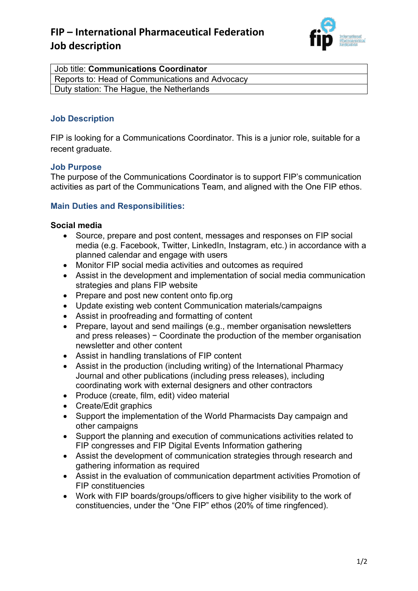# **FIP – International Pharmaceutical Federation Job description**



| Job title: Communications Coordinator           |
|-------------------------------------------------|
| Reports to: Head of Communications and Advocacy |
| Duty station: The Hague, the Netherlands        |

# **Job Description**

FIP is looking for a Communications Coordinator. This is a junior role, suitable for a recent graduate.

## **Job Purpose**

The purpose of the Communications Coordinator is to support FIP's communication activities as part of the Communications Team, and aligned with the One FIP ethos.

# **Main Duties and Responsibilities:**

#### **Social media**

- Source, prepare and post content, messages and responses on FIP social media (e.g. Facebook, Twitter, LinkedIn, Instagram, etc.) in accordance with a planned calendar and engage with users
- Monitor FIP social media activities and outcomes as required
- Assist in the development and implementation of social media communication strategies and plans FIP website
- Prepare and post new content onto fip.org
- Update existing web content Communication materials/campaigns
- Assist in proofreading and formatting of content
- Prepare, layout and send mailings (e.g., member organisation newsletters and press releases) − Coordinate the production of the member organisation newsletter and other content
- Assist in handling translations of FIP content
- Assist in the production (including writing) of the International Pharmacy Journal and other publications (including press releases), including coordinating work with external designers and other contractors
- Produce (create, film, edit) video material
- Create/Edit graphics
- Support the implementation of the World Pharmacists Day campaign and other campaigns
- Support the planning and execution of communications activities related to FIP congresses and FIP Digital Events Information gathering
- Assist the development of communication strategies through research and gathering information as required
- Assist in the evaluation of communication department activities Promotion of FIP constituencies
- Work with FIP boards/groups/officers to give higher visibility to the work of constituencies, under the "One FIP" ethos (20% of time ringfenced).